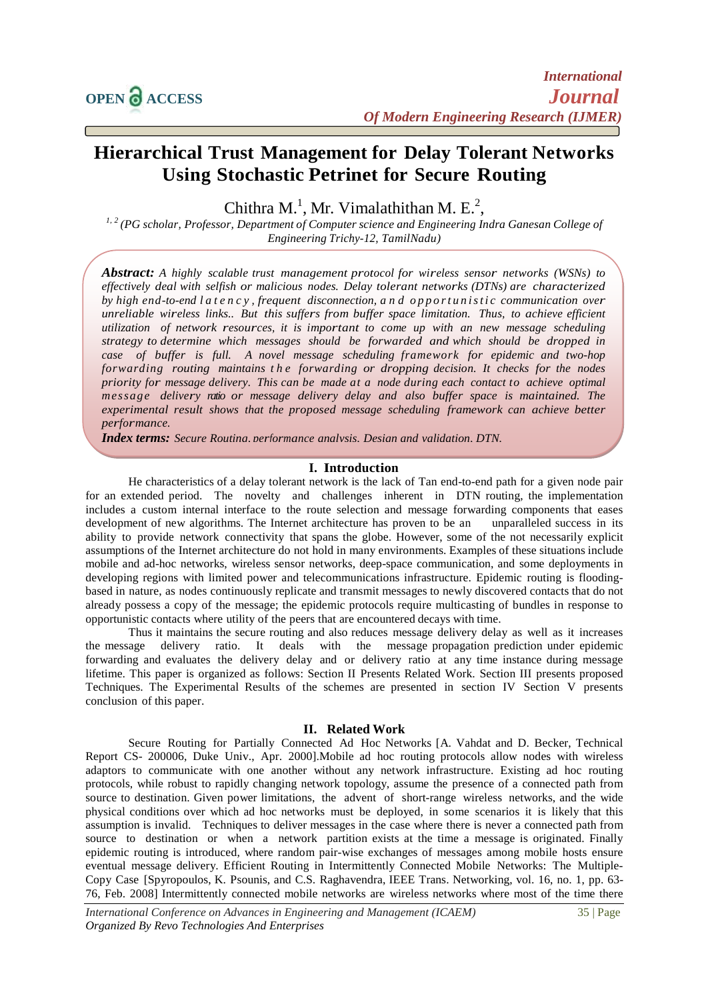# **Hierarchical Trust Management for Delay Tolerant Networks Using Stochastic Petrinet for Secure Routing**

Chithra M.<sup>1</sup>, Mr. Vimalathithan M. E.<sup>2</sup>,

*1, 2 (PG scholar, Professor, Department of Computer science and Engineering Indra Ganesan College of Engineering Trichy-12, TamilNadu)*

*Abstract: A highly scalable trust management protocol for wireless sensor networks (WSNs) to effectively deal with selfish or malicious nodes. Delay tolerant networks (DTNs) are characterized by high end-to-end l a t e n c y , frequent disconnection, and o p p o r t u n i s t i c communication over unreliable wireless links.. But this suffers from buffer space limitation. Thus, to achieve efficient utilization of network resources, it is important to come up with an new message scheduling strategy to determine which messages should be forwarded and which should be dropped in case of buffer is full. A novel message scheduling framework for epidemic and two-hop forwarding routing maintains t h e forwarding or dropping decision. It checks for the nodes priority for message delivery. This can be made at a node during each contact to achieve optimal message delivery ratio or message delivery delay and also buffer space is maintained. The experimental result shows that the proposed message scheduling framework can achieve better performance.*

*Index terms: Secure Routing, performance analysis, Design and validation, DTN.*

#### **I. Introduction**

He characteristics of a delay tolerant network is the lack of Tan end-to-end path for a given node pair for an extended period. The novelty and challenges inherent in DTN routing, the implementation includes a custom internal interface to the route selection and message forwarding components that eases development of new algorithms. The Internet architecture has proven to be an unparalleled success in its ability to provide network connectivity that spans the globe. However, some of the not necessarily explicit assumptions of the Internet architecture do not hold in many environments. Examples of these situations include mobile and ad-hoc networks, wireless sensor networks, deep-space communication, and some deployments in developing regions with limited power and telecommunications infrastructure. Epidemic routing is floodingbased in nature, as nodes continuously replicate and transmit messages to newly discovered contacts that do not already possess a copy of the message; the epidemic protocols require multicasting of bundles in response to opportunistic contacts where utility of the peers that are encountered decays with time.

Thus it maintains the secure routing and also reduces message delivery delay as well as it increases the message delivery ratio. It deals with the message propagation prediction under epidemic forwarding and evaluates the delivery delay and or delivery ratio at any time instance during message lifetime. This paper is organized as follows: Section II Presents Related Work. Section III presents proposed Techniques. The Experimental Results of the schemes are presented in section IV Section V presents conclusion of this paper.

#### **II. Related Work**

Secure Routing for Partially Connected Ad Hoc Networks [A. Vahdat and D. Becker, Technical Report CS- 200006, Duke Univ., Apr. 2000].Mobile ad hoc routing protocols allow nodes with wireless adaptors to communicate with one another without any network infrastructure. Existing ad hoc routing protocols, while robust to rapidly changing network topology, assume the presence of a connected path from source to destination. Given power limitations, the advent of short-range wireless networks, and the wide physical conditions over which ad hoc networks must be deployed, in some scenarios it is likely that this assumption is invalid. Techniques to deliver messages in the case where there is never a connected path from source to destination or when a network partition exists at the time a message is originated. Finally epidemic routing is introduced, where random pair-wise exchanges of messages among mobile hosts ensure eventual message delivery. Efficient Routing in Intermittently Connected Mobile Networks: The Multiple-Copy Case [Spyropoulos, K. Psounis, and C.S. Raghavendra, IEEE Trans. Networking, vol. 16, no. 1, pp. 63- 76, Feb. 2008] Intermittently connected mobile networks are wireless networks where most of the time there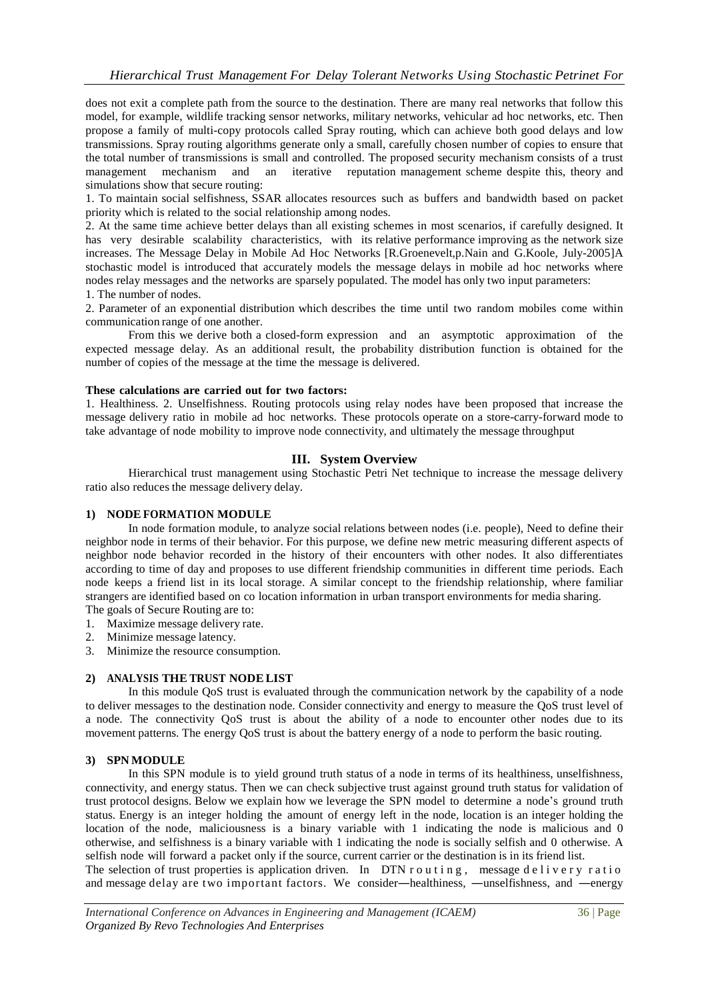does not exit a complete path from the source to the destination. There are many real networks that follow this model, for example, wildlife tracking sensor networks, military networks, vehicular ad hoc networks, etc. Then propose a family of multi-copy protocols called Spray routing, which can achieve both good delays and low transmissions. Spray routing algorithms generate only a small, carefully chosen number of copies to ensure that the total number of transmissions is small and controlled. The proposed security mechanism consists of a trust management mechanism and an iterative reputation management scheme despite this, theory and simulations show that secure routing:

1. To maintain social selfishness, SSAR allocates resources such as buffers and bandwidth based on packet priority which is related to the social relationship among nodes.

2. At the same time achieve better delays than all existing schemes in most scenarios, if carefully designed. It has very desirable scalability characteristics, with its relative performance improving as the network size increases. The Message Delay in Mobile Ad Hoc Networks [R.Groenevelt,p.Nain and G.Koole, July-2005]A stochastic model is introduced that accurately models the message delays in mobile ad hoc networks where nodes relay messages and the networks are sparsely populated. The model has only two input parameters:

1. The number of nodes.

2. Parameter of an exponential distribution which describes the time until two random mobiles come within communication range of one another.

From this we derive both a closed-form expression and an asymptotic approximation of the expected message delay. As an additional result, the probability distribution function is obtained for the number of copies of the message at the time the message is delivered.

## **These calculations are carried out for two factors:**

1. Healthiness. 2. Unselfishness. Routing protocols using relay nodes have been proposed that increase the message delivery ratio in mobile ad hoc networks. These protocols operate on a store-carry-forward mode to take advantage of node mobility to improve node connectivity, and ultimately the message throughput

# **III. System Overview**

Hierarchical trust management using Stochastic Petri Net technique to increase the message delivery ratio also reduces the message delivery delay.

## **1) NODE FORMATION MODULE**

In node formation module, to analyze social relations between nodes (i.e. people), Need to define their neighbor node in terms of their behavior. For this purpose, we define new metric measuring different aspects of neighbor node behavior recorded in the history of their encounters with other nodes. It also differentiates according to time of day and proposes to use different friendship communities in different time periods. Each node keeps a friend list in its local storage. A similar concept to the friendship relationship, where familiar strangers are identified based on co location information in urban transport environments for media sharing. The goals of Secure Routing are to:

1. Maximize message delivery rate.

- 2. Minimize message latency.
- 3. Minimize the resource consumption.

# **2) ANALYSIS THE TRUST NODE LIST**

In this module QoS trust is evaluated through the communication network by the capability of a node to deliver messages to the destination node. Consider connectivity and energy to measure the QoS trust level of a node. The connectivity QoS trust is about the ability of a node to encounter other nodes due to its movement patterns. The energy QoS trust is about the battery energy of a node to perform the basic routing.

# **3) SPN MODULE**

In this SPN module is to yield ground truth status of a node in terms of its healthiness, unselfishness, connectivity, and energy status. Then we can check subjective trust against ground truth status for validation of trust protocol designs. Below we explain how we leverage the SPN model to determine a node's ground truth status. Energy is an integer holding the amount of energy left in the node, location is an integer holding the location of the node, maliciousness is a binary variable with 1 indicating the node is malicious and 0 otherwise, and selfishness is a binary variable with 1 indicating the node is socially selfish and 0 otherwise. A selfish node will forward a packet only if the source, current carrier or the destination is in its friend list. The selection of trust properties is application driven. In DTN r o u t i n g, message d e l i v e r y r at i o and message delay are two important factors. We consider—healthiness, —unselfishness, and —energy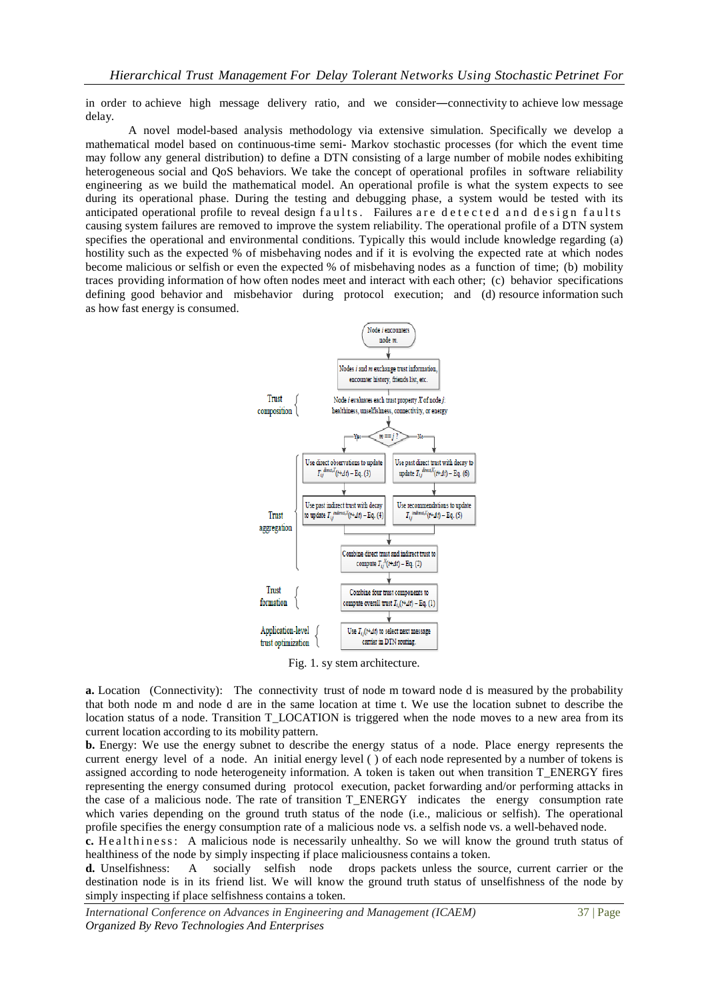in order to achieve high message delivery ratio, and we consider―connectivity to achieve low message delay.

A novel model-based analysis methodology via extensive simulation. Specifically we develop a mathematical model based on continuous-time semi- Markov stochastic processes (for which the event time may follow any general distribution) to define a DTN consisting of a large number of mobile nodes exhibiting heterogeneous social and QoS behaviors. We take the concept of operational profiles in software reliability engineering as we build the mathematical model. An operational profile is what the system expects to see during its operational phase. During the testing and debugging phase, a system would be tested with its anticipated operational profile to reveal design f aults. Failures are detected and design faults causing system failures are removed to improve the system reliability. The operational profile of a DTN system specifies the operational and environmental conditions. Typically this would include knowledge regarding (a) hostility such as the expected % of misbehaving nodes and if it is evolving the expected rate at which nodes become malicious or selfish or even the expected % of misbehaving nodes as a function of time; (b) mobility traces providing information of how often nodes meet and interact with each other; (c) behavior specifications defining good behavior and misbehavior during protocol execution; and (d) resource information such as how fast energy is consumed.



Fig. 1. sy stem architecture.

**a.** Location (Connectivity): The connectivity trust of node m toward node d is measured by the probability that both node m and node d are in the same location at time t. We use the location subnet to describe the location status of a node. Transition T\_LOCATION is triggered when the node moves to a new area from its current location according to its mobility pattern.

**b.** Energy: We use the energy subnet to describe the energy status of a node. Place energy represents the current energy level of a node. An initial energy level ( ) of each node represented by a number of tokens is assigned according to node heterogeneity information. A token is taken out when transition T\_ENERGY fires representing the energy consumed during protocol execution, packet forwarding and/or performing attacks in the case of a malicious node. The rate of transition T\_ENERGY indicates the energy consumption rate which varies depending on the ground truth status of the node (i.e., malicious or selfish). The operational profile specifies the energy consumption rate of a malicious node vs. a selfish node vs. a well-behaved node.

**c.** He althiness: A malicious node is necessarily unhealthy. So we will know the ground truth status of healthiness of the node by simply inspecting if place maliciousness contains a token.

**d.** Unselfishness: A socially selfish node drops packets unless the source, current carrier or the destination node is in its friend list. We will know the ground truth status of unselfishness of the node by simply inspecting if place selfishness contains a token.

*International Conference on Advances in Engineering and Management (ICAEM)* 37 | Page *Organized By Revo Technologies And Enterprises*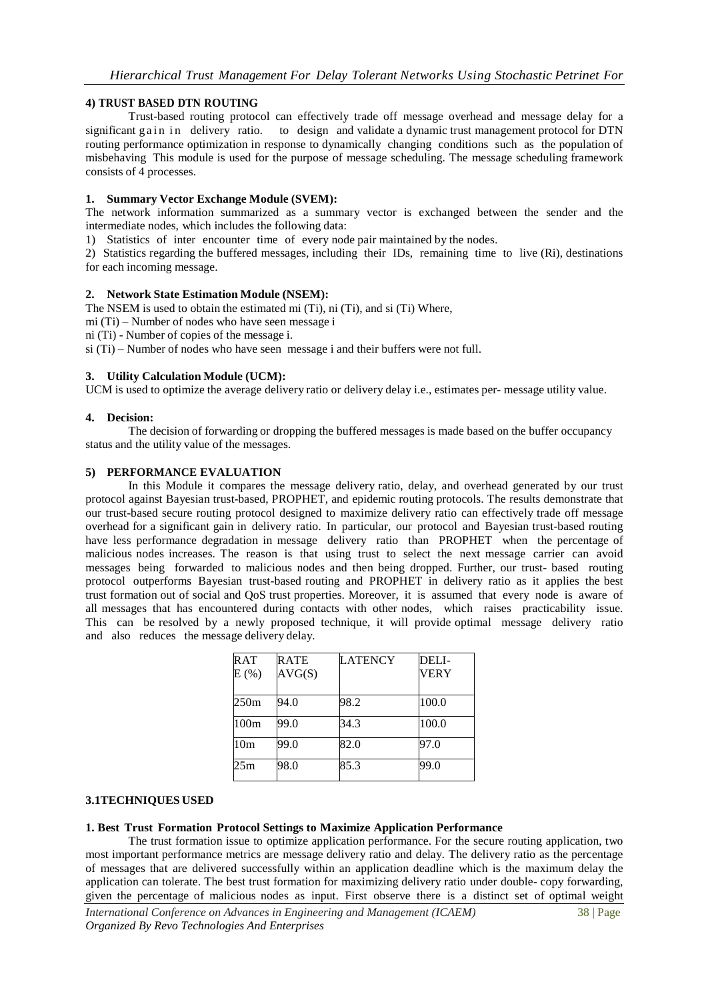## **4) TRUST BASED DTN ROUTING**

Trust-based routing protocol can effectively trade off message overhead and message delay for a significant g a in in delivery ratio. to design and validate a dynamic trust management protocol for DTN routing performance optimization in response to dynamically changing conditions such as the population of misbehaving This module is used for the purpose of message scheduling. The message scheduling framework consists of 4 processes.

#### **1. Summary Vector Exchange Module (SVEM):**

The network information summarized as a summary vector is exchanged between the sender and the intermediate nodes, which includes the following data:

1) Statistics of inter encounter time of every node pair maintained by the nodes.

2) Statistics regarding the buffered messages, including their IDs, remaining time to live (Ri), destinations for each incoming message.

#### **2. Network State Estimation Module (NSEM):**

The NSEM is used to obtain the estimated mi (Ti), ni (Ti), and si (Ti) Where,

mi (Ti) – Number of nodes who have seen message i

ni (Ti) - Number of copies of the message i.

si (Ti) – Number of nodes who have seen message i and their buffers were not full.

#### **3. Utility Calculation Module (UCM):**

UCM is used to optimize the average delivery ratio or delivery delay i.e., estimates per- message utility value.

## **4. Decision:**

The decision of forwarding or dropping the buffered messages is made based on the buffer occupancy status and the utility value of the messages.

#### **5) PERFORMANCE EVALUATION**

In this Module it compares the message delivery ratio, delay, and overhead generated by our trust protocol against Bayesian trust-based, PROPHET, and epidemic routing protocols. The results demonstrate that our trust-based secure routing protocol designed to maximize delivery ratio can effectively trade off message overhead for a significant gain in delivery ratio. In particular, our protocol and Bayesian trust-based routing have less performance degradation in message delivery ratio than PROPHET when the percentage of malicious nodes increases. The reason is that using trust to select the next message carrier can avoid messages being forwarded to malicious nodes and then being dropped. Further, our trust- based routing protocol outperforms Bayesian trust-based routing and PROPHET in delivery ratio as it applies the best trust formation out of social and QoS trust properties. Moreover, it is assumed that every node is aware of all messages that has encountered during contacts with other nodes, which raises practicability issue. This can be resolved by a newly proposed technique, it will provide optimal message delivery ratio and also reduces the message delivery delay.

| <b>RAT</b><br>E(%) | <b>RATE</b><br>AVG(S) | LATENCY | DELI-<br><b>VERY</b> |
|--------------------|-----------------------|---------|----------------------|
| 250m               | 94.0                  | 98.2    | 100.0                |
| 100 <sub>m</sub>   | 99.0                  | 34.3    | 100.0                |
| 10 <sub>m</sub>    | 99.0                  | 82.0    | 97.0                 |
| 25m                | 98.0                  | 85.3    | 99.0                 |

# **3.1TECHNIQUES USED**

## **1. Best Trust Formation Protocol Settings to Maximize Application Performance**

The trust formation issue to optimize application performance. For the secure routing application, two most important performance metrics are message delivery ratio and delay. The delivery ratio as the percentage of messages that are delivered successfully within an application deadline which is the maximum delay the application can tolerate. The best trust formation for maximizing delivery ratio under double- copy forwarding, given the percentage of malicious nodes as input. First observe there is a distinct set of optimal weight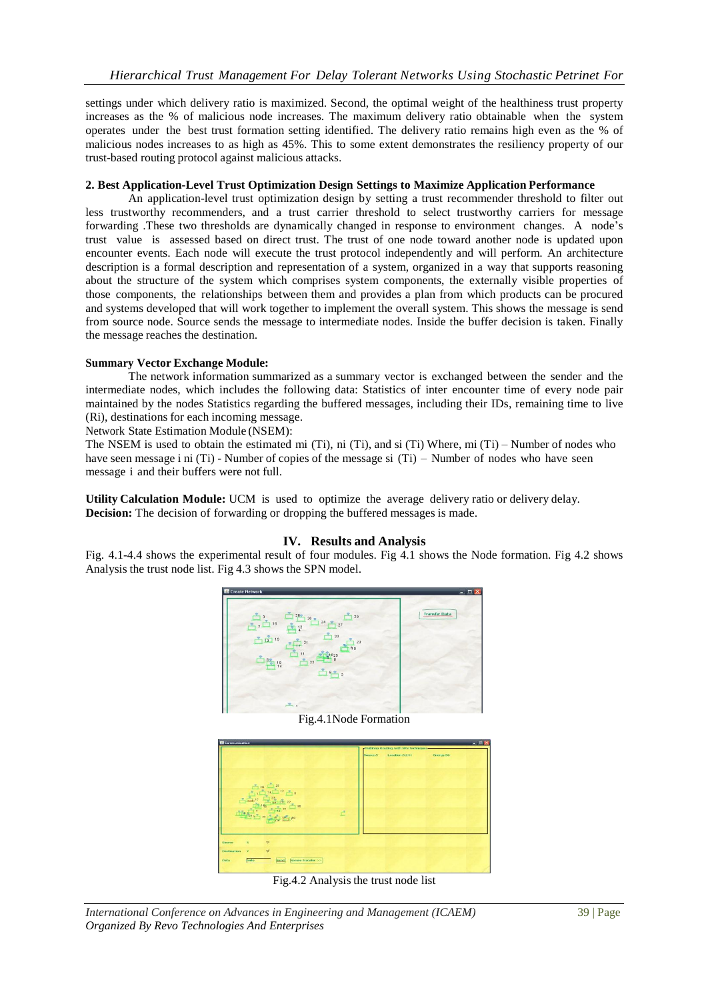settings under which delivery ratio is maximized. Second, the optimal weight of the healthiness trust property increases as the % of malicious node increases. The maximum delivery ratio obtainable when the system operates under the best trust formation setting identified. The delivery ratio remains high even as the % of malicious nodes increases to as high as 45%. This to some extent demonstrates the resiliency property of our trust-based routing protocol against malicious attacks.

## **2. Best Application-Level Trust Optimization Design Settings to Maximize Application Performance**

An application-level trust optimization design by setting a trust recommender threshold to filter out less trustworthy recommenders, and a trust carrier threshold to select trustworthy carriers for message forwarding .These two thresholds are dynamically changed in response to environment changes. A node's trust value is assessed based on direct trust. The trust of one node toward another node is updated upon encounter events. Each node will execute the trust protocol independently and will perform. An architecture description is a formal description and representation of a system, organized in a way that supports reasoning about the structure of the system which comprises system components, the externally visible properties of those components, the relationships between them and provides a plan from which products can be procured and systems developed that will work together to implement the overall system. This shows the message is send from source node. Source sends the message to intermediate nodes. Inside the buffer decision is taken. Finally the message reaches the destination.

# **Summary Vector Exchange Module:**

The network information summarized as a summary vector is exchanged between the sender and the intermediate nodes, which includes the following data: Statistics of inter encounter time of every node pair maintained by the nodes Statistics regarding the buffered messages, including their IDs, remaining time to live (Ri), destinations for each incoming message.

Network State Estimation Module (NSEM):

The NSEM is used to obtain the estimated mi (Ti), ni (Ti), and si (Ti) Where, mi (Ti) – Number of nodes who have seen message i ni (Ti) - Number of copies of the message si (Ti) – Number of nodes who have seen message i and their buffers were not full.

**Utility Calculation Module:** UCM is used to optimize the average delivery ratio or delivery delay. **Decision:** The decision of forwarding or dropping the buffered messages is made.

# **IV. Results and Analysis**

Fig. 4.1-4.4 shows the experimental result of four modules. Fig 4.1 shows the Node formation. Fig 4.2 shows Analysis the trust node list. Fig 4.3 shows the SPN model.



Fig.4.1Node Formation



Fig.4.2 Analysis the trust node list

*International Conference on Advances in Engineering and Management (ICAEM)* 39 | Page *Organized By Revo Technologies And Enterprises*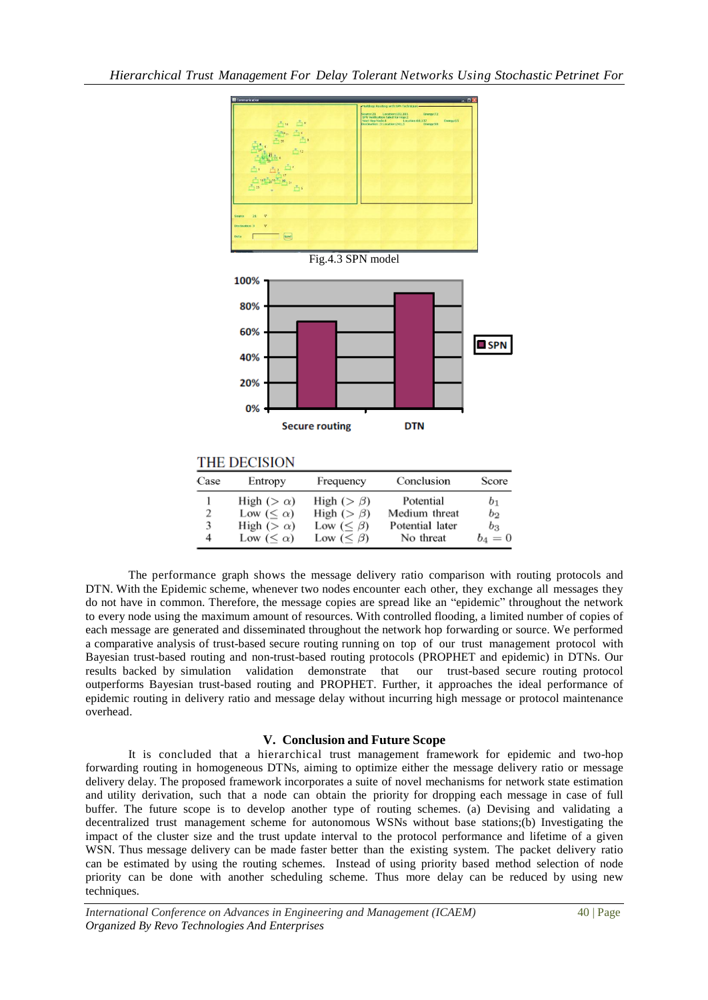

# **THE DECISION**

| Case   | Entropy                                                        | Frequency                                                                      | Conclusion                                                 | Score                                       |
|--------|----------------------------------------------------------------|--------------------------------------------------------------------------------|------------------------------------------------------------|---------------------------------------------|
| 2<br>4 | High ( $>\alpha$ )<br>Low $(\alpha)High (>\alpha)Low (\alpha)$ | High ( $> \beta$ )<br>High ( $> \beta$ )<br>Low $(< \beta)$<br>Low $(< \beta)$ | Potential<br>Medium threat<br>Potential later<br>No threat | b <sub>1</sub><br>$b_2$<br>$b_3$<br>$b_4=0$ |

The performance graph shows the message delivery ratio comparison with routing protocols and DTN. With the Epidemic scheme, whenever two nodes encounter each other, they exchange all messages they do not have in common. Therefore, the message copies are spread like an "epidemic" throughout the network to every node using the maximum amount of resources. With controlled flooding, a limited number of copies of each message are generated and disseminated throughout the network hop forwarding or source. We performed a comparative analysis of trust-based secure routing running on top of our trust management protocol with Bayesian trust-based routing and non-trust-based routing protocols (PROPHET and epidemic) in DTNs. Our results backed by simulation validation demonstrate that our trust-based secure routing protocol outperforms Bayesian trust-based routing and PROPHET. Further, it approaches the ideal performance of epidemic routing in delivery ratio and message delay without incurring high message or protocol maintenance overhead.

# **V. Conclusion and Future Scope**

It is concluded that a hierarchical trust management framework for epidemic and two-hop forwarding routing in homogeneous DTNs, aiming to optimize either the message delivery ratio or message delivery delay. The proposed framework incorporates a suite of novel mechanisms for network state estimation and utility derivation, such that a node can obtain the priority for dropping each message in case of full buffer. The future scope is to develop another type of routing schemes. (a) Devising and validating a decentralized trust management scheme for autonomous WSNs without base stations;(b) Investigating the impact of the cluster size and the trust update interval to the protocol performance and lifetime of a given WSN. Thus message delivery can be made faster better than the existing system. The packet delivery ratio can be estimated by using the routing schemes. Instead of using priority based method selection of node priority can be done with another scheduling scheme. Thus more delay can be reduced by using new techniques.